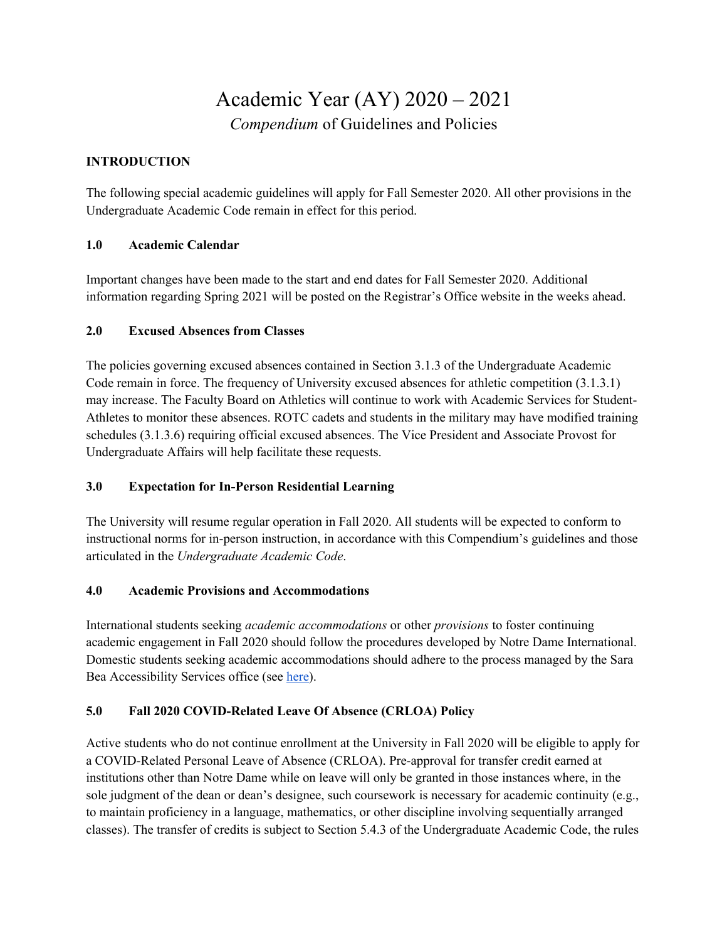# Academic Year (AY) 2020 – 2021 *Compendium* of Guidelines and Policies

## **INTRODUCTION**

The following special academic guidelines will apply for Fall Semester 2020. All other provisions in the Undergraduate Academic Code remain in effect for this period.

### **1.0 Academic Calendar**

Important changes have been made to the start and end dates for Fall Semester 2020. Additional information regarding Spring 2021 will be posted on the Registrar's Office website in the weeks ahead.

#### **2.0 Excused Absences from Classes**

The policies governing excused absences contained in Section 3.1.3 of the Undergraduate Academic Code remain in force. The frequency of University excused absences for athletic competition (3.1.3.1) may increase. The Faculty Board on Athletics will continue to work with Academic Services for Student-Athletes to monitor these absences. ROTC cadets and students in the military may have modified training schedules (3.1.3.6) requiring official excused absences. The Vice President and Associate Provost for Undergraduate Affairs will help facilitate these requests.

# **3.0 Expectation for In-Person Residential Learning**

The University will resume regular operation in Fall 2020. All students will be expected to conform to instructional norms for in-person instruction, in accordance with this Compendium's guidelines and those articulated in the *Undergraduate Academic Code*.

#### **4.0 Academic Provisions and Accommodations**

International students seeking *academic accommodations* or other *provisions* to foster continuing academic engagement in Fall 2020 should follow the procedures developed by Notre Dame International. Domestic students seeking academic accommodations should adhere to the process managed by the Sara Bea Accessibility Services office (see [here\)](https://here.nd.edu/policies/student-accommodations/).

#### **5.0 Fall 2020 COVID-Related Leave Of Absence (CRLOA) Policy**

Active students who do not continue enrollment at the University in Fall 2020 will be eligible to apply for a COVID-Related Personal Leave of Absence (CRLOA). Pre-approval for transfer credit earned at institutions other than Notre Dame while on leave will only be granted in those instances where, in the sole judgment of the dean or dean's designee, such coursework is necessary for academic continuity (e.g., to maintain proficiency in a language, mathematics, or other discipline involving sequentially arranged classes). The transfer of credits is subject to Section 5.4.3 of the Undergraduate Academic Code, the rules